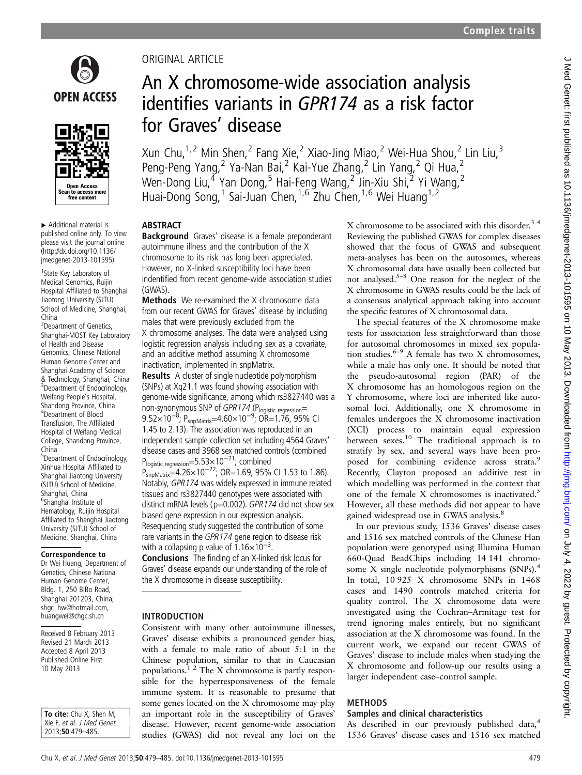



▸ Additional material is published online only. To view please visit the journal online [\(http://dx.doi.org/10.1136/](http://dx.doi.org/10.1136/jmedgenet-2013-101595) [jmedgenet-2013-101595\)](http://dx.doi.org/10.1136/jmedgenet-2013-101595).

<sup>1</sup>State Key Laboratory of Medical Genomics, Ruijin Hospital Affiliated to Shanghai Jiaotong University (SJTU) School of Medicine, Shanghai, China

<sup>2</sup>Department of Genetics, Shanghai-MOST Key Laboratory of Health and Disease Genomics, Chinese National Human Genome Center and Shanghai Academy of Science & Technology, Shanghai, China <sup>3</sup>Department of Endocrinology, Weifang People's Hospital, Shandong Province, China 4 Department of Blood Transfusion, The Affiliated Hospital of Weifang Medical College, Shandong Province, China 5 Department of Endocrinology, Xinhua Hospital Affiliated to

Shanghai Jiaotong University (SJTU) School of Medicine, Shanghai, China 6 Shanghai Institute of Hematology, Ruijin Hospital Affiliated to Shanghai Jiaotong University (SJTU) School of Medicine, Shanghai, China

#### Correspondence to

Dr Wei Huang, Department of Genetics, Chinese National Human Genome Center, Bldg. 1, 250 BiBo Road, Shanghai 201203, China; shac\_hw@hotmail.com, huangwei@chgc.sh.cn

Received 8 February 2013 Revised 21 March 2013 Accepted 8 April 2013 Published Online First 10 May 2013

To cite: Chu X, Shen M, Xie F, et al. J Med Genet 2013;50:479–485.

# ORIGINAL ARTICLE

# An X chromosome-wide association analysis identifies variants in GPR174 as a risk factor for Graves' disease

Xun Chu, $^{1,2}$  Min Shen, $^2$  Fang Xie, $^2$  Xiao-Jing Miao, $^2$  Wei-Hua Shou, $^2$  Lin Liu, $^3$ Peng-Peng Yang,<sup>2</sup> Ya-Nan Bai,<sup>2</sup> Kai-Yue Zhang,<sup>2</sup> Lin Yang,<sup>2</sup> Qi Hua,<sup>2</sup> Wen-Dong Liu, $^{4}$  Yan Dong,  $^{5}$  Hai-Feng Wang,  $^{2}$  Jin-Xiu Shi,  $^{2}$  Yi Wang,  $^{2}$ Huai-Dong Song,<sup>1</sup> Sai-Juan Chen,<sup>1,6</sup> Zhu Chen,<sup>1,6</sup> Wei Huang<sup>1,2</sup>

#### ABSTRACT

Background Graves' disease is a female preponderant autoimmune illness and the contribution of the X chromosome to its risk has long been appreciated. However, no X-linked susceptibility loci have been indentified from recent genome-wide association studies (GWAS).

**Methods** We re-examined the X chromosome data from our recent GWAS for Graves' disease by including males that were previously excluded from the X chromosome analyses. The data were analysed using logistic regression analysis including sex as a covariate, and an additive method assuming X chromosome inactivation, implemented in snpMatrix.

Results A cluster of single nucleotide polymorphism (SNPs) at Xq21.1 was found showing association with genome-wide significance, among which rs3827440 was a non-synonymous SNP of GPR174 (Plogistic regression= 9.52×10<sup>-8</sup>; P<sub>snpMatrix</sub>=4.60×10<sup>-9</sup>; OR=1.76, 95% CI 1.45 to 2.13). The association was reproduced in an independent sample collection set including 4564 Graves' disease cases and 3968 sex matched controls (combined P<sub>logistic regression</sub>=5.53×10<sup>-21</sup>; combined P<sub>snpMatrix</sub>=4.26×10<sup>-22</sup>; OR=1.69, 95% CI 1.53 to 1.86). Notably, GPR174 was widely expressed in immune related tissues and rs3827440 genotypes were associated with distinct mRNA levels ( $p=0.002$ ). GPR174 did not show sex biased gene expression in our expression analysis. Resequencing study suggested the contribution of some rare variants in the GPR174 gene region to disease risk with a collapsing p value of  $1.16\times10^{-3}$ .

Conclusions The finding of an X-linked risk locus for Graves' disease expands our understanding of the role of the X chromosome in disease susceptibility.

#### INTRODUCTION

Consistent with many other autoimmune illnesses, Graves' disease exhibits a pronounced gender bias, with a female to male ratio of about 5:1 in the Chinese population, similar to that in Caucasian populations.1 2 The X chromosome is partly responsible for the hyperresponsiveness of the female immune system. It is reasonable to presume that some genes located on the X chromosome may play an important role in the susceptibility of Graves' disease. However, recent genome-wide association studies (GWAS) did not reveal any loci on the X chromosome to be associated with this disorder.<sup>34</sup> Reviewing the published GWAS for complex diseases showed that the focus of GWAS and subsequent meta-analyses has been on the autosomes, whereas X chromosomal data have usually been collected but not analysed.5–<sup>8</sup> One reason for the neglect of the X chromosome in GWAS results could be the lack of a consensus analytical approach taking into account the specific features of X chromosomal data.

The special features of the X chromosome make tests for association less straightforward than those for autosomal chromosomes in mixed sex population studies. $6-9$  A female has two X chromosomes, while a male has only one. It should be noted that the pseudo-autosomal region (PAR) of the X chromosome has an homologous region on the Y chromosome, where loci are inherited like autosomal loci. Additionally, one X chromosome in females undergoes the X chromosome inactivation (XCI) process to maintain equal expression between sexes.<sup>10</sup> The traditional approach is to stratify by sex, and several ways have been proposed for combining evidence across strata.<sup>9</sup> Recently, Clayton proposed an additive test in which modelling was performed in the context that one of the female X chromosomes is inactivated.<sup>5</sup> However, all these methods did not appear to have gained widespread use in GWAS analysis.<sup>8</sup>

In our previous study, 1536 Graves' disease cases and 1516 sex matched controls of the Chinese Han population were genotyped using Illumina Human 660-Quad BeadChips including 14 141 chromosome X single nucleotide polymorphisms (SNPs).<sup>4</sup> In total, 10 925 X chromosome SNPs in 1468 cases and 1490 controls matched criteria for quality control. The X chromosome data were investigated using the Cochran–Armitage test for trend ignoring males entirely, but no significant association at the X chromosome was found. In the current work, we expand our recent GWAS of Graves' disease to include males when studying the X chromosome and follow-up our results using a larger independent case–control sample.

#### METHODS

#### Samples and clinical characteristics

As described in our previously published data,<sup>4</sup> 1536 Graves' disease cases and 1516 sex matched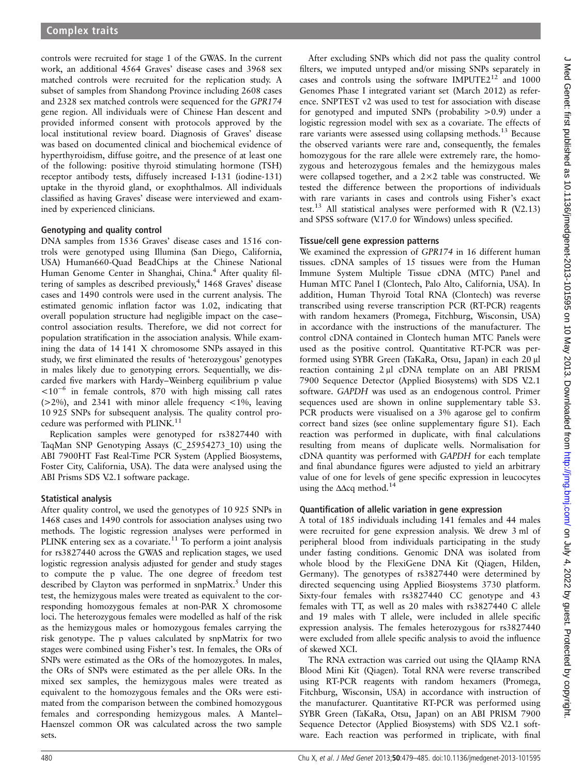controls were recruited for stage 1 of the GWAS. In the current work, an additional 4564 Graves' disease cases and 3968 sex matched controls were recruited for the replication study. A subset of samples from Shandong Province including 2608 cases and 2328 sex matched controls were sequenced for the GPR174 gene region. All individuals were of Chinese Han descent and provided informed consent with protocols approved by the local institutional review board. Diagnosis of Graves' disease was based on documented clinical and biochemical evidence of hyperthyroidism, diffuse goitre, and the presence of at least one of the following: positive thyroid stimulating hormone (TSH) receptor antibody tests, diffusely increased I-131 (iodine-131) uptake in the thyroid gland, or exophthalmos. All individuals classified as having Graves' disease were interviewed and examined by experienced clinicians.

#### Genotyping and quality control

DNA samples from 1536 Graves' disease cases and 1516 controls were genotyped using Illumina (San Diego, California, USA) Human660-Quad BeadChips at the Chinese National Human Genome Center in Shanghai, China.<sup>4</sup> After quality filtering of samples as described previously,<sup>4</sup> 1468 Graves' disease cases and 1490 controls were used in the current analysis. The estimated genomic inflation factor was 1.02, indicating that overall population structure had negligible impact on the case– control association results. Therefore, we did not correct for population stratification in the association analysis. While examining the data of 14 141 X chromosome SNPs assayed in this study, we first eliminated the results of 'heterozygous' genotypes in males likely due to genotyping errors. Sequentially, we discarded five markers with Hardy–Weinberg equilibrium p value  $10^{-6}$  in female controls, 870 with high missing call rates  $(>2\%)$ , and 2341 with minor allele frequency  $<1\%$ , leaving 10 925 SNPs for subsequent analysis. The quality control procedure was performed with PLINK.<sup>11</sup>

Replication samples were genotyped for rs3827440 with TaqMan SNP Genotyping Assays (C\_25954273\_10) using the ABI 7900HT Fast Real-Time PCR System (Applied Biosystems, Foster City, California, USA). The data were analysed using the ABI Prisms SDS V.2.1 software package.

#### Statistical analysis

After quality control, we used the genotypes of 10 925 SNPs in 1468 cases and 1490 controls for association analyses using two methods. The logistic regression analyses were performed in PLINK entering sex as a covariate.<sup>11</sup> To perform a joint analysis for rs3827440 across the GWAS and replication stages, we used logistic regression analysis adjusted for gender and study stages to compute the p value. The one degree of freedom test described by Clayton was performed in snpMatrix.<sup>5</sup> Under this test, the hemizygous males were treated as equivalent to the corresponding homozygous females at non-PAR X chromosome loci. The heterozygous females were modelled as half of the risk as the hemizygous males or homozygous females carrying the risk genotype. The p values calculated by snpMatrix for two stages were combined using Fisher's test. In females, the ORs of SNPs were estimated as the ORs of the homozygotes. In males, the ORs of SNPs were estimated as the per allele ORs. In the mixed sex samples, the hemizygous males were treated as equivalent to the homozygous females and the ORs were estimated from the comparison between the combined homozygous females and corresponding hemizygous males. A Mantel– Haenszel common OR was calculated across the two sample sets.

After excluding SNPs which did not pass the quality control filters, we imputed untyped and/or missing SNPs separately in cases and controls using the software  $IMPUTE2<sup>12</sup>$  and 1000 Genomes Phase I integrated variant set (March 2012) as reference. SNPTEST v2 was used to test for association with disease for genotyped and imputed SNPs (probability >0.9) under a logistic regression model with sex as a covariate. The effects of rare variants were assessed using collapsing methods.<sup>13</sup> Because the observed variants were rare and, consequently, the females homozygous for the rare allele were extremely rare, the homozygous and heterozygous females and the hemizygous males were collapsed together, and a 2×2 table was constructed. We tested the difference between the proportions of individuals with rare variants in cases and controls using Fisher's exact test.<sup>13</sup> All statistical analyses were performed with R (V.2.13) and SPSS software (V.17.0 for Windows) unless specified.

#### Tissue/cell gene expression patterns

We examined the expression of GPR174 in 16 different human tissues. cDNA samples of 15 tissues were from the Human Immune System Multiple Tissue cDNA (MTC) Panel and Human MTC Panel I (Clontech, Palo Alto, California, USA). In addition, Human Thyroid Total RNA (Clontech) was reverse transcribed using reverse transcription PCR (RT-PCR) reagents with random hexamers (Promega, Fitchburg, Wisconsin, USA) in accordance with the instructions of the manufacturer. The control cDNA contained in Clontech human MTC Panels were used as the positive control. Quantitative RT-PCR was performed using SYBR Green (TaKaRa, Otsu, Japan) in each 20 μl reaction containing 2 μl cDNA template on an ABI PRISM 7900 Sequence Detector (Applied Biosystems) with SDS V.2.1 software. GAPDH was used as an endogenous control. Primer sequences used are shown in online [supplementary table](http://jmg.bmj.com/lookup/suppl/doi:10.1136/jmedgenet-2013-101595/-/DC1) S3. PCR products were visualised on a 3% agarose gel to confirm correct band sizes (see online [supplementary](http://jmg.bmj.com/lookup/suppl/doi:10.1136/jmedgenet-2013-101595/-/DC1) figure S1). Each reaction was performed in duplicate, with final calculations resulting from means of duplicate wells. Normalisation for cDNA quantity was performed with GAPDH for each template and final abundance figures were adjusted to yield an arbitrary value of one for levels of gene specific expression in leucocytes using the  $\Delta \Delta$ cq method.<sup>14</sup>

## Quantification of allelic variation in gene expression

A total of 185 individuals including 141 females and 44 males were recruited for gene expression analysis. We drew 3 ml of peripheral blood from individuals participating in the study under fasting conditions. Genomic DNA was isolated from whole blood by the FlexiGene DNA Kit (Qiagen, Hilden, Germany). The genotypes of rs3827440 were determined by directed sequencing using Applied Biosystems 3730 platform. Sixty-four females with rs3827440 CC genotype and 43 females with TT, as well as 20 males with rs3827440 C allele and 19 males with T allele, were included in allele specific expression analysis. The females heterozygous for rs3827440 were excluded from allele specific analysis to avoid the influence of skewed XCI.

The RNA extraction was carried out using the QIAamp RNA Blood Mini Kit (Qiagen). Total RNA were reverse transcribed using RT-PCR reagents with random hexamers (Promega, Fitchburg, Wisconsin, USA) in accordance with instruction of the manufacturer. Quantitative RT-PCR was performed using SYBR Green (TaKaRa, Otsu, Japan) on an ABI PRISM 7900 Sequence Detector (Applied Biosystems) with SDS V.2.1 software. Each reaction was performed in triplicate, with final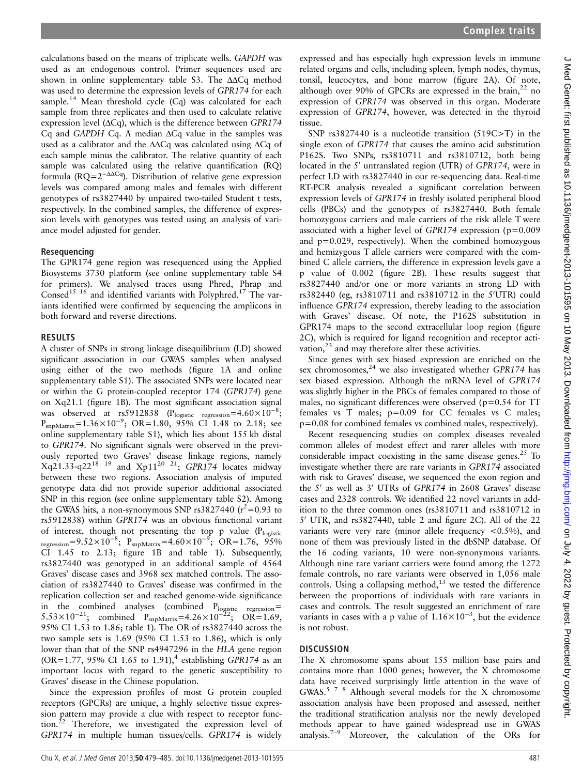expressed and has especially high expression levels in immune related organs and cells, including spleen, lymph nodes, thymus, tonsil, leucocytes, and bone marrow (figure 2A). Of note, although over 90% of GPCRs are expressed in the brain, $^{22}$  no expression of GPR174 was observed in this organ. Moderate expression of GPR174, however, was detected in the thyroid tissue.

SNP rs3827440 is a nucleotide transition (519C>T) in the single exon of GPR174 that causes the amino acid substitution P162S. Two SNPs, rs3810711 and rs3810712, both being located in the 5' untranslated region (UTR) of GPR174, were in perfect LD with rs3827440 in our re-sequencing data. Real-time RT-PCR analysis revealed a significant correlation between expression levels of GPR174 in freshly isolated peripheral blood cells (PBCs) and the genotypes of rs3827440. Both female homozygous carriers and male carriers of the risk allele T were associated with a higher level of  $GPR174$  expression ( $p=0.009$ ) and  $p=0.029$ , respectively). When the combined homozygous and hemizygous T allele carriers were compared with the combined C allele carriers, the difference in expression levels gave a p value of 0.002 (figure 2B). These results suggest that rs3827440 and/or one or more variants in strong LD with rs382440 (eg, rs3810711 and rs3810712 in the 5'UTR) could influence GPR174 expression, thereby leading to the association with Graves' disease. Of note, the P162S substitution in GPR174 maps to the second extracellular loop region (figure 2C), which is required for ligand recognition and receptor activation, $^{23}$  and may therefore alter these activities.

Since genes with sex biased expression are enriched on the sex chromosomes,<sup>24</sup> we also investigated whether GPR174 has sex biased expression. Although the mRNA level of GPR174 was slightly higher in the PBCs of females compared to those of males, no significant differences were observed ( $p=0.54$  for TT females vs T males; p=0.09 for CC females vs C males; p=0.08 for combined females vs combined males, respectively).

Recent resequencing studies on complex diseases revealed common alleles of modest effect and rarer alleles with more considerable impact coexisting in the same disease genes. $25$  To investigate whether there are rare variants in GPR174 associated with risk to Graves' disease, we sequenced the exon region and the  $5'$  as well as  $3'$  UTRs of GPR174 in 2608 Graves' disease cases and 2328 controls. We identified 22 novel variants in addition to the three common ones (rs3810711 and rs3810712 in  $5'$  UTR, and rs3827440, table 2 and figure 2C). All of the 22 variants were very rare (minor allele frequency  $\langle 0.5\% \rangle$ , and none of them was previously listed in the dbSNP database. Of the 16 coding variants, 10 were non-synonymous variants. Although nine rare variant carriers were found among the 1272 female controls, no rare variants were observed in 1,056 male controls. Using a collapsing method, $13$  we tested the difference between the proportions of individuals with rare variants in cases and controls. The result suggested an enrichment of rare variants in cases with a p value of  $1.16 \times 10^{-3}$ , but the evidence is not robust.

## **DISCUSSION**

The X chromosome spans about 155 million base pairs and contains more than 1000 genes; however, the X chromosome data have received surprisingly little attention in the wave of GWAS.<sup>578</sup> Although several models for the X chromosome association analysis have been proposed and assessed, neither the traditional stratification analysis nor the newly developed methods appear to have gained widespread use in GWAS analysis.7–<sup>9</sup> Moreover, the calculation of the ORs for

calculations based on the means of triplicate wells. GAPDH was used as an endogenous control. Primer sequences used are shown in online [supplementary table](http://jmg.bmj.com/lookup/suppl/doi:10.1136/jmedgenet-2013-101595/-/DC1) S3. The ΔΔCq method was used to determine the expression levels of GPR174 for each sample.<sup>14</sup> Mean threshold cycle (Cq) was calculated for each sample from three replicates and then used to calculate relative expression level ( $\Delta Cq$ ), which is the difference between GPR174 Cq and GAPDH Cq. A median  $\Delta Cq$  value in the samples was used as a calibrator and the ΔΔCq was calculated using ΔCq of each sample minus the calibrator. The relative quantity of each sample was calculated using the relative quantification (RQ) formula ( $RQ=2^{-\Delta\Delta Cq}$ ). Distribution of relative gene expression levels was compared among males and females with different genotypes of rs3827440 by unpaired two-tailed Student t tests, respectively. In the combined samples, the difference of expression levels with genotypes was tested using an analysis of variance model adjusted for gender.

#### Resequencing

The GPR174 gene region was resequenced using the Applied Biosystems 3730 platform (see online [supplementary table](http://jmg.bmj.com/lookup/suppl/doi:10.1136/jmedgenet-2013-101595/-/DC1) S4 for primers). We analysed traces using Phred, Phrap and Consed<sup>15 16</sup> and identified variants with Polyphred.<sup>17</sup> The variants identified were confirmed by sequencing the amplicons in both forward and reverse directions.

## RESULTS

A cluster of SNPs in strong linkage disequilibrium (LD) showed significant association in our GWAS samples when analysed using either of the two methods (figure 1A and online [supplementary table](http://jmg.bmj.com/lookup/suppl/doi:10.1136/jmedgenet-2013-101595/-/DC1) S1). The associated SNPs were located near or within the G protein-coupled receptor 174 (GPR174) gene on Xq21.1 (figure 1B). The most significant association signal was observed at rs5912838 ( $P_{logistic regression} = 4.60 \times 10^{-8}$ ;  $P_{\text{snpMatrix}}=1.36\times10^{-9}$ ; OR=1.80, 95% CI 1.48 to 2.18; see online [supplementary table](http://jmg.bmj.com/lookup/suppl/doi:10.1136/jmedgenet-2013-101595/-/DC1) S1), which lies about 155 kb distal to GPR174. No significant signals were observed in the previously reported two Graves' disease linkage regions, namely  $Xq21.33-q22^{18}$  <sup>19</sup> and  $Xp11^{20}$  <sup>21</sup>; GPR174 locates midway between these two regions. Association analysis of imputed genotype data did not provide superior additional associated SNP in this region (see online [supplementary table](http://jmg.bmj.com/lookup/suppl/doi:10.1136/jmedgenet-2013-101595/-/DC1) S2). Among the GWAS hits, a non-synonymous SNP rs3827440 ( $r^2$ =0.93 to rs5912838) within GPR174 was an obvious functional variant of interest, though not presenting the top p value ( $P_{logistic}$  $r_{\text{regression}} = 9.52 \times 10^{-8}$ ;  $P_{\text{snpMatrix}} = 4.60 \times 10^{-9}$ ; OR=1.76, 95% CI 1.45 to 2.13; figure 1B and table 1). Subsequently, rs3827440 was genotyped in an additional sample of 4564 Graves' disease cases and 3968 sex matched controls. The association of rs3827440 to Graves' disease was confirmed in the replication collection set and reached genome-wide significance in the combined analyses (combined  $P_{logistic regression} =$  $5.53\times10^{-21}$ ; combined P<sub>snpMatrix</sub>=4.26×10<sup>-22</sup>; OR=1.69, 95% CI 1.53 to 1.86; table 1). The OR of rs3827440 across the two sample sets is 1.69 (95% CI 1.53 to 1.86), which is only lower than that of the SNP rs4947296 in the HLA gene region (OR=1.77, 95% CI 1.65 to 1.91),<sup>4</sup> establishing GPR174 as an important locus with regard to the genetic susceptibility to Graves' disease in the Chinese population.

Since the expression profiles of most G protein coupled receptors (GPCRs) are unique, a highly selective tissue expression pattern may provide a clue with respect to receptor function.<sup>22</sup> Therefore, we investigated the expression level of GPR174 in multiple human tissues/cells. GPR174 is widely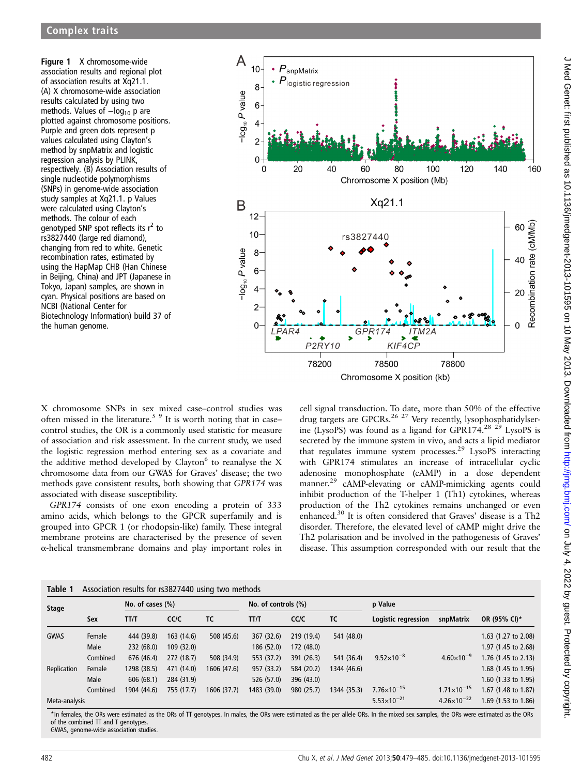Figure 1 X chromosome-wide association results and regional plot of association results at Xq21.1. (A) X chromosome-wide association results calculated by using two methods. Values of −log<sub>10</sub> p are plotted against chromosome positions. Purple and green dots represent p values calculated using Clayton's method by snpMatrix and logistic regression analysis by PLINK, respectively. (B) Association results of single nucleotide polymorphisms (SNPs) in genome-wide association study samples at Xq21.1. p Values were calculated using Clayton's methods. The colour of each genotyped SNP spot reflects its  $r^2$  to rs3827440 (large red diamond), changing from red to white. Genetic recombination rates, estimated by using the HapMap CHB (Han Chinese in Beijing, China) and JPT (Japanese in Tokyo, Japan) samples, are shown in cyan. Physical positions are based on NCBI (National Center for Biotechnology Information) build 37 of the human genome.



X chromosome SNPs in sex mixed case–control studies was often missed in the literature.<sup>5</sup>  $9$  It is worth noting that in case– control studies, the OR is a commonly used statistic for measure of association and risk assessment. In the current study, we used the logistic regression method entering sex as a covariate and the additive method developed by Clayton $<sup>6</sup>$  to reanalyse the X</sup> chromosome data from our GWAS for Graves' disease; the two methods gave consistent results, both showing that GPR174 was associated with disease susceptibility.

GPR174 consists of one exon encoding a protein of 333 amino acids, which belongs to the GPCR superfamily and is grouped into GPCR 1 (or rhodopsin-like) family. These integral membrane proteins are characterised by the presence of seven α-helical transmembrane domains and play important roles in

cell signal transduction. To date, more than 50% of the effective drug targets are GPCRs.<sup>26 27</sup> Very recently, lysophosphatidylserine (LysoPS) was found as a ligand for GPR174.<sup>28 29</sup> LysoPS is secreted by the immune system in vivo, and acts a lipid mediator that regulates immune system processes.29 LysoPS interacting with GPR174 stimulates an increase of intracellular cyclic adenosine monophosphate (cAMP) in a dose dependent manner.<sup>29</sup> cAMP-elevating or cAMP-mimicking agents could inhibit production of the T-helper 1 (Th1) cytokines, whereas production of the Th2 cytokines remains unchanged or even enhanced.30 It is often considered that Graves' disease is a Th2 disorder. Therefore, the elevated level of cAMP might drive the Th2 polarisation and be involved in the pathogenesis of Graves' disease. This assumption corresponded with our result that the

| Table 1<br>Association results for rs3827440 using two methods |          |                     |            |             |                        |                        |                        |                        |                        |                     |  |
|----------------------------------------------------------------|----------|---------------------|------------|-------------|------------------------|------------------------|------------------------|------------------------|------------------------|---------------------|--|
| <b>Stage</b>                                                   | Sex      | No. of cases $(\%)$ |            |             | No. of controls $(\%)$ |                        |                        | p Value                |                        |                     |  |
|                                                                |          | TT/T                | CC/C       | TC          | TT/T                   | CC/C                   | TC                     | Logistic regression    | snpMatrix              | OR (95% CI)*        |  |
| <b>GWAS</b>                                                    | Female   | 444 (39.8)          | 163(14.6)  | 508 (45.6)  | 367 (32.6)             | 219 (19.4)             | 541 (48.0)             |                        |                        | 1.63 (1.27 to 2.08) |  |
|                                                                | Male     | 232 (68.0)          | 109(32.0)  |             | 186 (52.0)             | 172 (48.0)             |                        |                        |                        | 1.97 (1.45 to 2.68) |  |
|                                                                | Combined | 676 (46.4)          | 272 (18.7) | 508 (34.9)  | 553 (37.2)             | 391 (26.3)             | 541 (36.4)             | $9.52 \times 10^{-8}$  | $4.60\times10^{-9}$    | 1.76 (1.45 to 2.13) |  |
| Replication                                                    | Female   | 1298 (38.5)         | 471 (14.0) | 1606 (47.6) | 957 (33.2)             | 584 (20.2)             | 1344 (46.6)            |                        |                        | 1.68 (1.45 to 1.95) |  |
|                                                                | Male     | 606 (68.1)          | 284 (31.9) |             | 526 (57.0)             | 396 (43.0)             |                        |                        |                        | 1.60 (1.33 to 1.95) |  |
|                                                                | Combined | 1904 (44.6)         | 755 (17.7) | 1606 (37.7) | 1483 (39.0)            | 980 (25.7)             | 1344 (35.3)            | $7.76 \times 10^{-15}$ | $1.71 \times 10^{-15}$ | 1.67 (1.48 to 1.87) |  |
| Meta-analysis                                                  |          |                     |            |             |                        | $5.53 \times 10^{-21}$ | $4.26 \times 10^{-22}$ | 1.69 (1.53 to 1.86)    |                        |                     |  |

\*In females, the ORs were estimated as the ORs of TT genotypes. In males, the ORs were estimated as the per allele ORs. In the mixed sex samples, the ORs were estimated as the ORs of the combined TT and T genotypes.

GWAS, genome-wide association studies.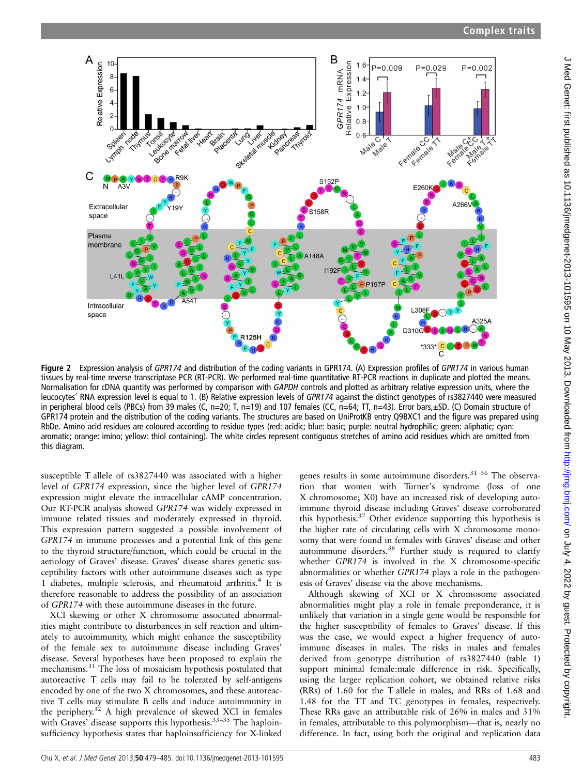

Figure 2 Expression analysis of GPR174 and distribution of the coding variants in GPR174. (A) Expression profiles of GPR174 in various human tissues by real-time reverse transcriptase PCR (RT-PCR). We performed real-time quantitative RT-PCR reactions in duplicate and plotted the means. Normalisation for cDNA quantity was performed by comparison with GAPDH controls and plotted as arbitrary relative expression units, where the leucocytes' RNA expression level is equal to 1. (B) Relative expression levels of GPR174 against the distinct genotypes of rs3827440 were measured in peripheral blood cells (PBCs) from 39 males (C, n=20; T, n=19) and 107 females (CC, n=64; TT, n=43). Error bars,±SD. (C) Domain structure of GPR174 protein and the distribution of the coding variants. The structures are based on UniProtKB entry Q9BXC1 and the figure was prepared using RbDe. Amino acid residues are coloured according to residue types (red: acidic; blue: basic; purple: neutral hydrophilic; green: aliphatic; cyan: aromatic; orange: imino; yellow: thiol containing). The white circles represent contiguous stretches of amino acid residues which are omitted from this diagram.

susceptible T allele of rs3827440 was associated with a higher level of GPR174 expression, since the higher level of GPR174 expression might elevate the intracellular cAMP concentration. Our RT-PCR analysis showed GPR174 was widely expressed in immune related tissues and moderately expressed in thyroid. This expression pattern suggested a possible involvement of GPR174 in immune processes and a potential link of this gene to the thyroid structure/function, which could be crucial in the aetiology of Graves' disease. Graves' disease shares genetic susceptibility factors with other autoimmune diseases such as type 1 diabetes, multiple sclerosis, and rheumatoid arthritis.<sup>4</sup> It is therefore reasonable to address the possibility of an association of GPR174 with these autoimmune diseases in the future.

XCI skewing or other X chromosome associated abnormalities might contribute to disturbances in self reaction and ultimately to autoimmunity, which might enhance the susceptibility of the female sex to autoimmune disease including Graves' disease. Several hypotheses have been proposed to explain the mechanisms.31 The loss of mosaicism hypothesis postulated that autoreactive T cells may fail to be tolerated by self-antigens encoded by one of the two X chromosomes, and these autoreactive T cells may stimulate B cells and induce autoimmunity in the periphery. $32$  A high prevalence of skewed XCI in females with Graves' disease supports this hypothesis.<sup>33–35</sup> The haploinsufficiency hypothesis states that haploinsufficiency for X-linked genes results in some autoimmune disorders.<sup>31 36</sup> The observation that women with Turner's syndrome (loss of one X chromosome; X0) have an increased risk of developing autoimmune thyroid disease including Graves' disease corroborated this hypothesis.37 Other evidence supporting this hypothesis is the higher rate of circulating cells with X chromosome monosomy that were found in females with Graves' disease and other autoimmune disorders.<sup>36</sup> Further study is required to clarify whether GPR174 is involved in the X chromosome-specific abnormalities or whether GPR174 plays a role in the pathogenesis of Graves' disease via the above mechanisms.

Although skewing of XCI or X chromosome associated abnormalities might play a role in female preponderance, it is unlikely that variation in a single gene would be responsible for the higher susceptibility of females to Graves' disease. If this was the case, we would expect a higher frequency of autoimmune diseases in males. The risks in males and females derived from genotype distribution of rs3827440 (table 1) support minimal female:male difference in risk. Specifically, using the larger replication cohort, we obtained relative risks (RRs) of 1.60 for the T allele in males, and RRs of 1.68 and 1.48 for the TT and TC genotypes in females, respectively. These RRs gave an attributable risk of 26% in males and 31% in females, attributable to this polymorphism—that is, nearly no difference. In fact, using both the original and replication data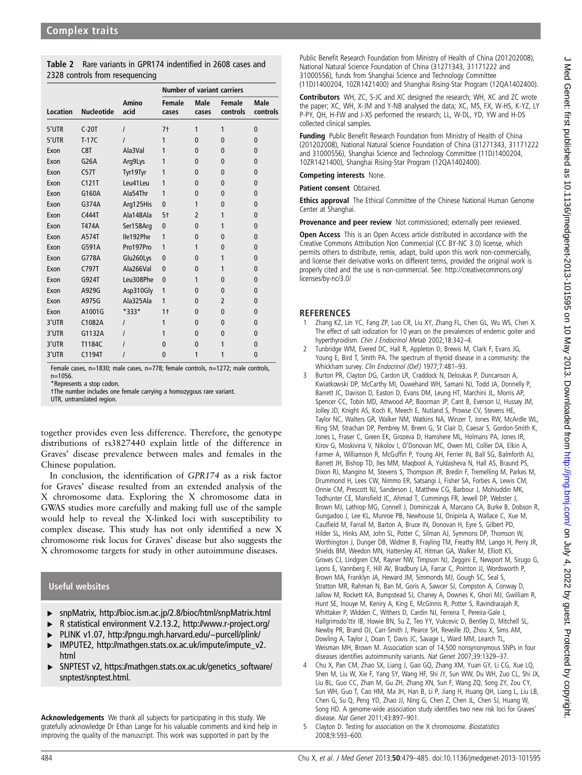#### Table 2 Rare variants in GPR174 indentified in 2608 cases and 2328 controls from resequencing

|                 |                   |                | <b>Number of variant carriers</b> |                      |                           |                         |  |  |
|-----------------|-------------------|----------------|-----------------------------------|----------------------|---------------------------|-------------------------|--|--|
| <b>Location</b> | <b>Nucleotide</b> | Amino<br>acid  | Female<br>cases                   | <b>Male</b><br>cases | <b>Female</b><br>controls | <b>Male</b><br>controls |  |  |
| 5'UTR           | $C-20T$           | $\overline{I}$ | 7†                                | 1                    | 1                         | $\Omega$                |  |  |
| 5'UTR           | $T-17C$           |                | 1                                 | $\mathbf{0}$         | $\Omega$                  | $\mathbf{0}$            |  |  |
| Exon            | C8T               | Ala3Val        | 1                                 | $\mathbf{0}$         | $\mathbf{0}$              | $\mathbf{0}$            |  |  |
| Exon            | G26A              | Arg9Lys        | 1                                 | $\mathbf{0}$         | $\Omega$                  | $\mathbf{0}$            |  |  |
| Exon            | <b>C57T</b>       | Tyr19Tyr       | 1                                 | $\mathbf{0}$         | $\mathbf{0}$              | $\mathbf{0}$            |  |  |
| Exon            | C121T             | Leu41Leu       | 1                                 | $\Omega$             | $\Omega$                  | $\mathbf{0}$            |  |  |
| Exon            | G160A             | Ala54Thr       | 1                                 | $\mathbf{0}$         | $\mathbf{0}$              | $\mathbf{0}$            |  |  |
| Exon            | G374A             | Arg125His      | $\mathbf{0}$                      | 1                    | $\Omega$                  | $\mathbf{0}$            |  |  |
| Exon            | C444T             | Ala148Ala      | 5 <sup>†</sup>                    | $\overline{2}$       | 1                         | $\mathbf{0}$            |  |  |
| Exon            | T474A             | Ser158Arg      | $\mathbf{0}$                      | $\mathbf{0}$         | 1                         | $\mathbf{0}$            |  |  |
| Exon            | A574T             | Ile192Phe      | 1                                 | 0                    | $\Omega$                  | $\mathbf{0}$            |  |  |
| Exon            | G591A             | Pro197Pro      | 1                                 | 1                    | $\mathbf{0}$              | $\mathbf{0}$            |  |  |
| Exon            | G778A             | Glu260Lys      | $\mathbf 0$                       | $\mathbf{0}$         | 1                         | $\mathbf{0}$            |  |  |
| Exon            | C797T             | Ala266Val      | $\mathbf{0}$                      | $\mathbf{0}$         | 1                         | $\mathbf{0}$            |  |  |
| Exon            | G924T             | Leu308Phe      | $\mathbf{0}$                      | 1                    | $\mathbf{0}$              | $\mathbf{0}$            |  |  |
| Exon            | A929G             | Asp310Gly      | 1                                 | $\mathbf{0}$         | $\Omega$                  | $\mathbf{0}$            |  |  |
| Exon            | A975G             | Ala325Ala      | 1                                 | $\mathbf{0}$         | $\overline{2}$            | $\mathbf{0}$            |  |  |
| Exon            | A1001G            | *333*          | 1 <sup>†</sup>                    | $\Omega$             | $\Omega$                  | $\Omega$                |  |  |
| 3'UTR           | C1082A            | $\overline{I}$ | 1                                 | $\mathbf{0}$         | $\mathbf{0}$              | $\mathbf{0}$            |  |  |
| 3'UTR           | G1132A            | I              | 1                                 | $\mathbf{0}$         | $\Omega$                  | $\mathbf{0}$            |  |  |
| 3'UTR           | T1184C            | I              | $\mathbf{0}$                      | $\mathbf{0}$         | 1                         | $\mathbf{0}$            |  |  |
| 3'UTR           | C1194T            |                | $\mathbf 0$                       | 1                    | 1                         | $\mathbf{0}$            |  |  |

Female cases, n=1830; male cases, n=778; female controls, n=1272; male controls, n=1056.

\*Represents a stop codon.

†The number includes one female carrying a homozygous rare variant. UTR, untranslated region.

together provides even less difference. Therefore, the genotype distributions of rs3827440 explain little of the difference in Graves' disease prevalence between males and females in the Chinese population.

In conclusion, the identification of GPR174 as a risk factor for Graves' disease resulted from an extended analysis of the X chromosome data. Exploring the X chromosome data in GWAS studies more carefully and making full use of the sample would help to reveal the X-linked loci with susceptibility to complex disease. This study has not only identified a new X chromosome risk locus for Graves' disease but also suggests the X chromosome targets for study in other autoimmune diseases.

## Useful websites

- ▸ snpMatrix,<http://bioc.ism.ac.jp/2.8/bioc/html/snpMatrix.html>
- ▸ R statistical environment V.2.13.2,<http://www.r-project.org/>
- ▸ PLINK v1.07,<http://pngu.mgh.harvard.edu/~purcell/plink/>
- ▸ IMPUTE2, [http://mathgen.stats.ox.ac.uk/impute/impute\\_v2.](http://mathgen.stats.ox.ac.uk/impute/impute_v2.html) [html](http://mathgen.stats.ox.ac.uk/impute/impute_v2.html)
- ▸ SNPTEST v2, [https://mathgen.stats.ox.ac.uk/genetics\\_software/](https://mathgen.stats.ox.ac.uk/genetics_software/snptest/snptest.html) [snptest/snptest.html](https://mathgen.stats.ox.ac.uk/genetics_software/snptest/snptest.html).

Acknowledgements We thank all subjects for participating in this study. We gratefully acknowledge Dr Ethan Lange for his valuable comments and kind help in improving the quality of the manuscript. This work was supported in part by the

Public Benefit Research Foundation from Ministry of Health of China (201202008), National Natural Science Foundation of China (31271343, 31171222 and 31000556), funds from Shanghai Science and Technology Committee (11DJ1400204, 10ZR1421400) and Shanghai Rising-Star Program (12QA1402400).

Contributors WH, ZC, S-JC and XC designed the research; WH, XC and ZC wrote the paper; XC, WH, X-JM and Y-NB analysed the data; XC, MS, FX, W-HS, K-YZ, LY P-PY, QH, H-FW and J-XS performed the research; LL, W-DL, YD, YW and H-DS collected clinical samples.

Funding Public Benefit Research Foundation from Ministry of Health of China (201202008), National Natural Science Foundation of China (31271343, 31171222 and 31000556), Shanghai Science and Technology Committee (11DJ1400204, 10ZR1421400), Shanghai Rising-Star Program (12QA1402400).

Competing interests None.

Patient consent Obtained

**Ethics approval** The Ethical Committee of the Chinese National Human Genome Center at Shanghai.

Provenance and peer review Not commissioned; externally peer reviewed.

Open Access This is an Open Access article distributed in accordance with the Creative Commons Attribution Non Commercial (CC BY-NC 3.0) license, which permits others to distribute, remix, adapt, build upon this work non-commercially, and license their derivative works on different terms, provided the original work is properly cited and the use is non-commercial. See: http://creativecommons.org/ licenses/by-nc/3.0/

#### **REFERENCES**

- Zhang KZ, Lin YC, Fang ZP, Luo CR, Liu XY, Zhang FL, Chen GL, Wu WS, Chen X. The effect of salt iodization for 10 years on the prevalences of endemic goiter and hyperthyroidism. Chin J Endocrinol Metab 2002;18:342–4.
- 2 Tunbridge WM, Evered DC, Hall R, Appleton D, Brewis M, Clark F, Evans JG, Young E, Bird T, Smith PA. The spectrum of thyroid disease in a community: the Whickham survey. Clin Endocrinol (Oxf) 1977;7:481-93.
- 3 Burton PR, Clayton DG, Cardon LR, Craddock N, Deloukas P, Duncanson A, Kwiatkowski DP, McCarthy MI, Ouwehand WH, Samani NJ, Todd JA, Donnelly P, Barrett JC, Davison D, Easton D, Evans DM, Leung HT, Marchini JL, Morris AP, Spencer CC, Tobin MD, Attwood AP, Boorman JP, Cant B, Everson U, Hussey JM, Jolley JD, Knight AS, Koch K, Meech E, Nutland S, Prowse CV, Stevens HE, Taylor NC, Walters GR, Walker NM, Watkins NA, Winzer T, Jones RW, McArdle WL, Ring SM, Strachan DP, Pembrey M, Breen G, St Clair D, Caesar S, Gordon-Smith K, Jones L, Fraser C, Green EK, Grozeva D, Hamshere ML, Holmans PA, Jones IR, Kirov G, Moskivina V, Nikolov I, O'Donovan MC, Owen MJ, Collier DA, Elkin A, Farmer A, Williamson R, McGuffin P, Young AH, Ferrier IN, Ball SG, Balmforth AJ, Barrett JH, Bishop TD, Iles MM, Maqbool A, Yuldasheva N, Hall AS, Braund PS, Dixon RJ, Mangino M, Stevens S, Thompson JR, Bredin F, Tremelling M, Parkes M, Drummond H, Lees CW, Nimmo ER, Satsangi J, Fisher SA, Forbes A, Lewis CM, Onnie CM, Prescott NJ, Sanderson J, Matthew CG, Barbour J, Mohiuddin MK, Todhunter CE, Mansfield JC, Ahmad T, Cummings FR, Jewell DP, Webster J, Brown MJ, Lathrop MG, Connell J, Dominiczak A, Marcano CA, Burke B, Dobson R, Gungadoo J, Lee KL, Munroe PB, Newhouse SJ, Onipinla A, Wallace C, Xue M, Caulfield M, Farrall M, Barton A, Bruce IN, Donovan H, Eyre S, Gilbert PD, Hilder SL, Hinks AM, John SL, Potter C, Silman AJ, Symmons DP, Thomson W, Worthington J, Dunger DB, Widmer B, Frayling TM, Freathy RM, Lango H, Perry JR, Shields BM, Weedon MN, Hattersley AT, Hitman GA, Walker M, Elliott KS, Groves CJ, Lindgren CM, Rayner NW, Timpson NJ, Zeggini E, Newport M, Sirugo G, Lyons E, Vannberg F, Hill AV, Bradbury LA, Farrar C, Pointon JJ, Wordsworth P, Brown MA, Franklyn JA, Heward JM, Simmonds MJ, Gough SC, Seal S, Stratton MR, Rahman N, Ban M, Goris A, Sawcer SJ, Compston A, Conway D, Jallow M, Rockett KA, Bumpstead SJ, Chaney A, Downes K, Ghori MJ, Gwilliam R, Hunt SE, Inouye M, Keniry A, King E, McGinnis R, Potter S, Ravindrarajah R, Whittaker P, Widden C, Withers D, Cardin NJ, Ferreira T, Pereira-Gale J, Hallgrimsdo'ttir IB, Howie BN, Su Z, Teo YY, Vukcevic D, Bentley D, Mitchell SL, Newby PR, Brand OJ, Carr-Smith J, Pearce SH, Reveille JD, Zhou X, Sims AM, Dowling A, Taylor J, Doan T, Davis JC, Savage L, Ward MM, Learch TL, Weisman MH, Brown M. Association scan of 14,500 nonsynonymous SNPs in four diseases identifies autoimmunity variants. Nat Genet 2007;39:1329–37.
- 4 Chu X, Pan CM, Zhao SX, Liang J, Gao GQ, Zhang XM, Yuan GY, Li CG, Xue LQ, Shen M, Liu W, Xie F, Yang SY, Wang HF, Shi JY, Sun WW, Du WH, Zuo CL, Shi JX, Liu BL, Guo CC, Zhan M, Gu ZH, Zhang XN, Sun F, Wang ZQ, Song ZY, Zou CY, Sun WH, Guo T, Cao HM, Ma JH, Han B, Li P, Jiang H, Huang QH, Liang L, Liu LB, Chen G, Su Q, Peng YD, Zhao JJ, Ning G, Chen Z, Chen JL, Chen SJ, Huang W, Song HD. A genome-wide association study identifies two new risk loci for Graves' disease. Nat Genet 2011;43:897–901.
- 5 Clayton D. Testing for association on the X chromosome. Biostatistics 2008;9:593–600.